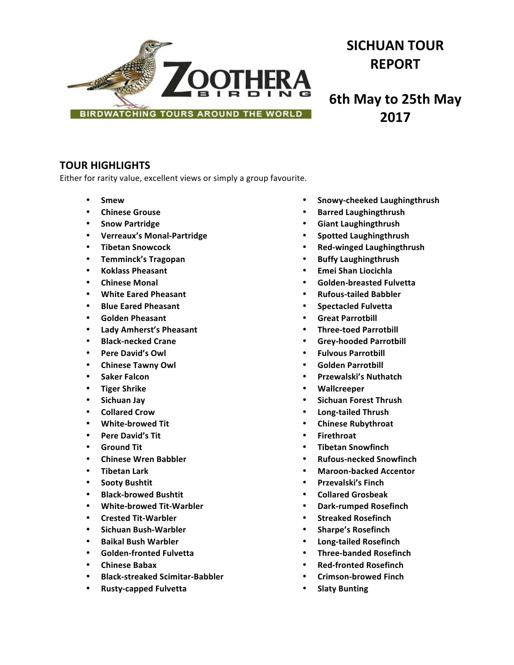

# **SICHUAN TOUR REPORT**

**6th May to 25th May 2017**

# **TOUR HIGHLIGHTS**

Either for rarity value, excellent views or simply a group favourite.

- **Smew**
- **Chinese Grouse**
- **Snow Partridge**
- **Verreaux's Monal-Partridge**
- **Tibetan Snowcock**
- **Temminck's Tragopan**
- **Koklass Pheasant**
- **Chinese Monal**
- **White Eared Pheasant**
- **Blue Eared Pheasant**
- **Golden Pheasant**
- **Lady Amherst's Pheasant**
- **Black-necked Crane**
- **Pere David's Owl**
- **Chinese Tawny Owl**
- **Saker Falcon**
- **Tiger Shrike**
- **Sichuan Jay**
- **Collared Crow**
- **White-browed Tit**
- Pere David's Tit
- **Ground Tit**
- **Chinese Wren Babbler**
- **Tibetan Lark**
- **Sooty Bushtit**
- **Black-browed Bushtit**
- **White-browed Tit-Warbler**
- **Crested Tit-Warbler**
- **Sichuan Bush-Warbler**
- **Baikal Bush Warbler**
- **Golden-fronted Fulvetta**
- **Chinese Babax**
- **Black-streaked Scimitar-Babbler**
- **Rusty-capped Fulvetta**
- **Snowy-cheeked Laughingthrush**
- **Barred Laughingthrush**
- **Giant Laughingthrush**
- **Spotted Laughingthrush**
- **Red-winged Laughingthrush**
- **Buffy Laughingthrush**
- **Emei Shan Liocichla**
- **Golden-breasted Fulvetta**
- **Rufous-tailed Babbler**
- **Spectacled Fulvetta**
- **Great Parrotbill**
- **Three-toed Parrotbill**
- **Grey-hooded Parrotbill**
- **Fulvous Parrotbill**
- **Golden Parrotbill**
- **Przewalski's Nuthatch**
- **Wallcreeper**
- **Sichuan Forest Thrush**
- **Long-tailed Thrush**
- **Chinese Rubythroat**
- **Firethroat**
- **Tibetan Snowfinch**
- **Rufous-necked Snowfinch**
- **Maroon-backed Accentor**
- **Przevalski's Finch**
- **Collared Grosbeak**
- **Dark-rumped Rosefinch**
- **Streaked Rosefinch**
- **Sharpe's Rosefinch**
- **Long-tailed Rosefinch**
- **Three-banded Rosefinch**
- **Red-fronted Rosefinch**
- **Crimson-browed Finch**
- **Slaty Bunting**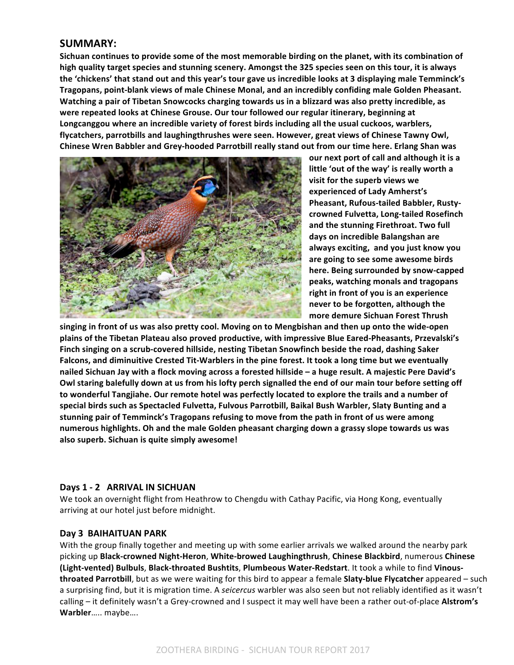# **SUMMARY:**

Sichuan continues to provide some of the most memorable birding on the planet, with its combination of high quality target species and stunning scenery. Amongst the 325 species seen on this tour, it is always the 'chickens' that stand out and this year's tour gave us incredible looks at 3 displaying male Temminck's Tragopans, point-blank views of male Chinese Monal, and an incredibly confiding male Golden Pheasant. Watching a pair of Tibetan Snowcocks charging towards us in a blizzard was also pretty incredible, as were repeated looks at Chinese Grouse. Our tour followed our regular itinerary, beginning at Longcanggou where an incredible variety of forest birds including all the usual cuckoos, warblers, flycatchers, parrotbills and laughingthrushes were seen. However, great views of Chinese Tawny Owl, **Chinese Wren Babbler and Grey-hooded Parrotbill really stand out from our time here. Erlang Shan was** 



our next port of call and although it is a little 'out of the way' is really worth a visit for the superb views we **experienced of Lady Amherst's Pheasant, Rufous-tailed Babbler, Rustycrowned Fulvetta, Long-tailed Rosefinch**  and the stunning Firethroat. Two full days on incredible Balangshan are **always exciting, and you just know you**  are going to see some awesome birds here. Being surrounded by snow-capped peaks, watching monals and tragopans right in front of you is an experience never to be forgotten, although the more demure Sichuan Forest Thrush

singing in front of us was also pretty cool. Moving on to Mengbishan and then up onto the wide-open plains of the Tibetan Plateau also proved productive, with impressive Blue Eared-Pheasants, Przevalski's Finch singing on a scrub-covered hillside, nesting Tibetan Snowfinch beside the road, dashing Saker Falcons, and diminuitive Crested Tit-Warblers in the pine forest. It took a long time but we eventually nailed Sichuan Jay with a flock moving across a forested hillside – a huge result. A majestic Pere David's Owl staring balefully down at us from his lofty perch signalled the end of our main tour before setting off to wonderful Tangjiahe. Our remote hotel was perfectly located to explore the trails and a number of special birds such as Spectacled Fulvetta, Fulvous Parrotbill, Baikal Bush Warbler, Slaty Bunting and a stunning pair of Temminck's Tragopans refusing to move from the path in front of us were among numerous highlights. Oh and the male Golden pheasant charging down a grassy slope towards us was also superb. Sichuan is quite simply awesome!

## **Days 1 - 2 ARRIVAL IN SICHUAN**

We took an overnight flight from Heathrow to Chengdu with Cathay Pacific, via Hong Kong, eventually arriving at our hotel just before midnight.

## **Day 3 BAIHAITUAN PARK**

With the group finally together and meeting up with some earlier arrivals we walked around the nearby park picking up Black-crowned Night-Heron, White-browed Laughingthrush, Chinese Blackbird, numerous Chinese **(Light-vented) Bulbuls**, **Black-throated Bushtits**, **Plumbeous Water-Redstart**. It took a while to find **Vinousthroated Parrotbill**, but as we were waiting for this bird to appear a female Slaty-blue Flycatcher appeared – such a surprising find, but it is migration time. A *seicercus* warbler was also seen but not reliably identified as it wasn't calling – it definitely wasn't a Grey-crowned and I suspect it may well have been a rather out-of-place Alstrom's **Warbler**….. maybe….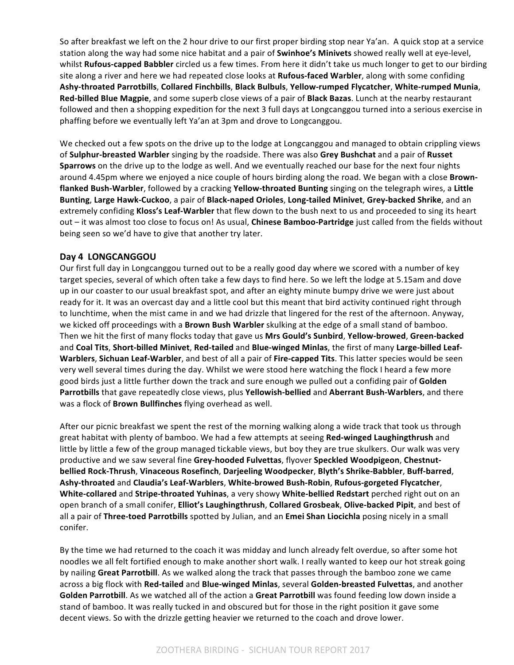So after breakfast we left on the 2 hour drive to our first proper birding stop near Ya'an. A quick stop at a service station along the way had some nice habitat and a pair of **Swinhoe's Minivets** showed really well at eye-level, whilst **Rufous-capped Babbler** circled us a few times. From here it didn't take us much longer to get to our birding site along a river and here we had repeated close looks at **Rufous-faced Warbler**, along with some confiding **Ashy-throated Parrotbills**, **Collared Finchbills**, **Black Bulbuls**, **Yellow-rumped Flycatcher**, **White-rumped Munia**, **Red-billed Blue Magpie**, and some superb close views of a pair of **Black Bazas**. Lunch at the nearby restaurant followed and then a shopping expedition for the next 3 full days at Longcanggou turned into a serious exercise in phaffing before we eventually left Ya'an at 3pm and drove to Longcanggou.

We checked out a few spots on the drive up to the lodge at Longcanggou and managed to obtain crippling views of **Sulphur-breasted Warbler** singing by the roadside. There was also Grey Bushchat and a pair of Russet **Sparrows** on the drive up to the lodge as well. And we eventually reached our base for the next four nights around 4.45pm where we enjoyed a nice couple of hours birding along the road. We began with a close **Brown**flanked Bush-Warbler, followed by a cracking Yellow-throated Bunting singing on the telegraph wires, a Little **Bunting**, **Large Hawk-Cuckoo**, a pair of **Black-naped Orioles**, **Long-tailed Minivet**, **Grey-backed Shrike**, and an extremely confiding Kloss's Leaf-Warbler that flew down to the bush next to us and proceeded to sing its heart out – it was almost too close to focus on! As usual, *Chinese Bamboo-Partridge* just called from the fields without being seen so we'd have to give that another try later.

# Day 4 LONGCANGGOU

Our first full day in Longcanggou turned out to be a really good day where we scored with a number of key target species, several of which often take a few days to find here. So we left the lodge at 5.15am and dove up in our coaster to our usual breakfast spot, and after an eighty minute bumpy drive we were just about ready for it. It was an overcast day and a little cool but this meant that bird activity continued right through to lunchtime, when the mist came in and we had drizzle that lingered for the rest of the afternoon. Anyway, we kicked off proceedings with a **Brown Bush Warbler** skulking at the edge of a small stand of bamboo. Then we hit the first of many flocks today that gave us Mrs Gould's Sunbird, Yellow-browed, Green-backed and Coal Tits, Short-billed Minivet, Red-tailed and Blue-winged Minlas, the first of many Large-billed Leaf-**Warblers, Sichuan Leaf-Warbler**, and best of all a pair of **Fire-capped Tits**. This latter species would be seen very well several times during the day. Whilst we were stood here watching the flock I heard a few more good birds just a little further down the track and sure enough we pulled out a confiding pair of **Golden** Parrotbills that gave repeatedly close views, plus Yellowish-bellied and Aberrant Bush-Warblers, and there was a flock of **Brown Bullfinches** flying overhead as well.

After our picnic breakfast we spent the rest of the morning walking along a wide track that took us through great habitat with plenty of bamboo. We had a few attempts at seeing Red-winged Laughingthrush and little by little a few of the group managed tickable views, but boy they are true skulkers. Our walk was very productive and we saw several fine Grey-hooded Fulvettas, flyover Speckled Woodpigeon, Chestnut**bellied Rock-Thrush**, **Vinaceous Rosefinch**, **Darjeeling Woodpecker**, **Blyth's Shrike-Babbler**, **Buff-barred**, **Ashy-throated** and **Claudia's Leaf-Warblers**, **White-browed Bush-Robin**, **Rufous-gorgeted Flycatcher**, White-collared and Stripe-throated Yuhinas, a very showy White-bellied Redstart perched right out on an open branch of a small conifer, **Elliot's Laughingthrush**, **Collared Grosbeak**, **Olive-backed Pipit**, and best of all a pair of Three-toed Parrotbills spotted by Julian, and an Emei Shan Liocichla posing nicely in a small conifer. 

By the time we had returned to the coach it was midday and lunch already felt overdue, so after some hot noodles we all felt fortified enough to make another short walk. I really wanted to keep our hot streak going by nailing Great Parrotbill. As we walked along the track that passes through the bamboo zone we came across a big flock with Red-tailed and Blue-winged Minlas, several Golden-breasted Fulvettas, and another Golden Parrotbill. As we watched all of the action a Great Parrotbill was found feeding low down inside a stand of bamboo. It was really tucked in and obscured but for those in the right position it gave some decent views. So with the drizzle getting heavier we returned to the coach and drove lower.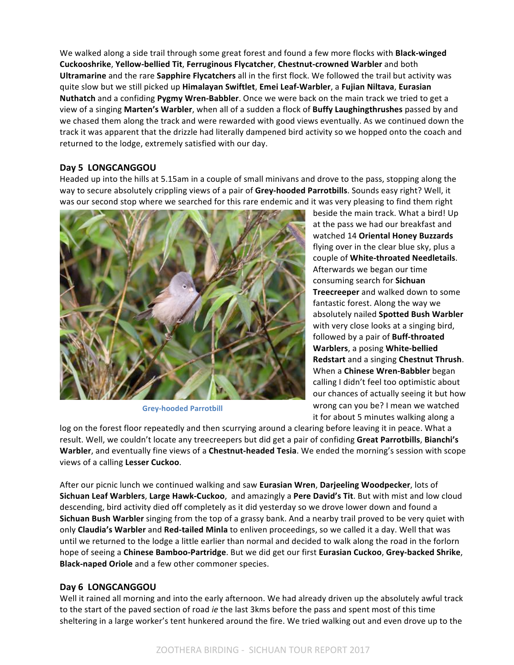We walked along a side trail through some great forest and found a few more flocks with **Black-winged Cuckooshrike**, **Yellow-bellied Tit**, **Ferruginous Flycatcher**, **Chestnut-crowned Warbler** and both **Ultramarine** and the rare **Sapphire Flycatchers** all in the first flock. We followed the trail but activity was quite slow but we still picked up Himalayan Swiftlet, Emei Leaf-Warbler, a Fujian Niltava, Eurasian **Nuthatch** and a confiding **Pygmy Wren-Babbler**. Once we were back on the main track we tried to get a view of a singing Marten's Warbler, when all of a sudden a flock of Buffy Laughingthrushes passed by and we chased them along the track and were rewarded with good views eventually. As we continued down the track it was apparent that the drizzle had literally dampened bird activity so we hopped onto the coach and returned to the lodge, extremely satisfied with our day.

# Day 5 LONGCANGGOU

Headed up into the hills at 5.15am in a couple of small minivans and drove to the pass, stopping along the way to secure absolutely crippling views of a pair of Grey-hooded Parrotbills. Sounds easy right? Well, it was our second stop where we searched for this rare endemic and it was very pleasing to find them right



**Grey-hooded Parrotbill**

beside the main track. What a bird! Up at the pass we had our breakfast and watched 14 **Oriental Honey Buzzards** flying over in the clear blue sky, plus a couple of **White-throated Needletails**. Afterwards we began our time consuming search for **Sichuan Treecreeper** and walked down to some fantastic forest. Along the way we absolutely nailed **Spotted Bush Warbler** with very close looks at a singing bird, followed by a pair of **Buff-throated Warblers**, a posing **White-bellied Redstart** and a singing **Chestnut Thrush**. When a **Chinese Wren-Babbler** began calling I didn't feel too optimistic about our chances of actually seeing it but how wrong can you be? I mean we watched it for about 5 minutes walking along a

log on the forest floor repeatedly and then scurrying around a clearing before leaving it in peace. What a result. Well, we couldn't locate any treecreepers but did get a pair of confiding Great Parrotbills, Bianchi's **Warbler**, and eventually fine views of a **Chestnut-headed Tesia**. We ended the morning's session with scope views of a calling **Lesser Cuckoo**.

After our picnic lunch we continued walking and saw **Eurasian Wren, Darjeeling Woodpecker**, lots of **Sichuan Leaf Warblers, Large Hawk-Cuckoo**, and amazingly a Pere David's Tit. But with mist and low cloud descending, bird activity died off completely as it did yesterday so we drove lower down and found a **Sichuan Bush Warbler** singing from the top of a grassy bank. And a nearby trail proved to be very quiet with only **Claudia's Warbler** and Red-tailed Minla to enliven proceedings, so we called it a day. Well that was until we returned to the lodge a little earlier than normal and decided to walk along the road in the forlorn hope of seeing a **Chinese Bamboo-Partridge**. But we did get our first Eurasian Cuckoo, Grey-backed Shrike, **Black-naped Oriole** and a few other commoner species.

# Day 6 LONGCANGGOU

Well it rained all morning and into the early afternoon. We had already driven up the absolutely awful track to the start of the paved section of road *ie* the last 3kms before the pass and spent most of this time sheltering in a large worker's tent hunkered around the fire. We tried walking out and even drove up to the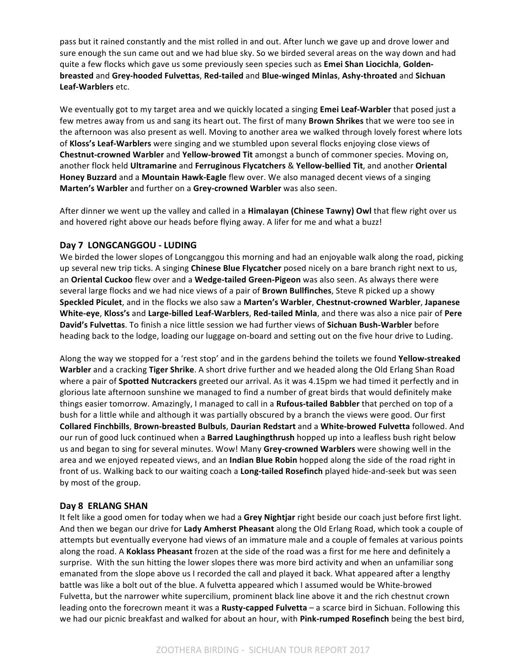pass but it rained constantly and the mist rolled in and out. After lunch we gave up and drove lower and sure enough the sun came out and we had blue sky. So we birded several areas on the way down and had quite a few flocks which gave us some previously seen species such as Emei Shan Liocichla, Golden**breasted** and **Grey-hooded Fulvettas**, **Red-tailed** and **Blue-winged Minlas**, **Ashy-throated** and **Sichuan Leaf-Warblers** etc.

We eventually got to my target area and we quickly located a singing **Emei Leaf-Warbler** that posed just a few metres away from us and sang its heart out. The first of many **Brown Shrikes** that we were too see in the afternoon was also present as well. Moving to another area we walked through lovely forest where lots of Kloss's Leaf-Warblers were singing and we stumbled upon several flocks enjoying close views of **Chestnut-crowned Warbler** and **Yellow-browed Tit** amongst a bunch of commoner species. Moving on, another flock held Ultramarine and Ferruginous Flycatchers & Yellow-bellied Tit, and another Oriental **Honey Buzzard** and a **Mountain Hawk-Eagle** flew over. We also managed decent views of a singing Marten's Warbler and further on a Grey-crowned Warbler was also seen.

After dinner we went up the valley and called in a **Himalayan (Chinese Tawny) Owl** that flew right over us and hovered right above our heads before flying away. A lifer for me and what a buzz!

# **Day 7 LONGCANGGOU - LUDING**

We birded the lower slopes of Longcanggou this morning and had an enjoyable walk along the road, picking up several new trip ticks. A singing **Chinese Blue Flycatcher** posed nicely on a bare branch right next to us, an Oriental Cuckoo flew over and a Wedge-tailed Green-Pigeon was also seen. As always there were several large flocks and we had nice views of a pair of **Brown Bullfinches**, Steve R picked up a showy **Speckled Piculet**, and in the flocks we also saw a Marten's Warbler, Chestnut-crowned Warbler, Japanese White-eye, Kloss's and Large-billed Leaf-Warblers, Red-tailed Minla, and there was also a nice pair of Pere David's Fulvettas. To finish a nice little session we had further views of Sichuan Bush-Warbler before heading back to the lodge, loading our luggage on-board and setting out on the five hour drive to Luding.

Along the way we stopped for a 'rest stop' and in the gardens behind the toilets we found **Yellow-streaked Warbler** and a cracking **Tiger Shrike**. A short drive further and we headed along the Old Erlang Shan Road where a pair of **Spotted Nutcrackers** greeted our arrival. As it was 4.15pm we had timed it perfectly and in glorious late afternoon sunshine we managed to find a number of great birds that would definitely make things easier tomorrow. Amazingly, I managed to call in a **Rufous-tailed Babbler** that perched on top of a bush for a little while and although it was partially obscured by a branch the views were good. Our first **Collared Finchbills**, **Brown-breasted Bulbuls**, **Daurian Redstart** and a **White-browed Fulvetta** followed. And our run of good luck continued when a Barred Laughingthrush hopped up into a leafless bush right below us and began to sing for several minutes. Wow! Many Grey-crowned Warblers were showing well in the area and we enjoyed repeated views, and an **Indian Blue Robin** hopped along the side of the road right in front of us. Walking back to our waiting coach a **Long-tailed Rosefinch** played hide-and-seek but was seen by most of the group.

# Day 8 **ERLANG SHAN**

It felt like a good omen for today when we had a Grey Nightjar right beside our coach just before first light. And then we began our drive for Lady Amherst Pheasant along the Old Erlang Road, which took a couple of attempts but eventually everyone had views of an immature male and a couple of females at various points along the road. A **Koklass Pheasant** frozen at the side of the road was a first for me here and definitely a surprise. With the sun hitting the lower slopes there was more bird activity and when an unfamiliar song emanated from the slope above us I recorded the call and played it back. What appeared after a lengthy battle was like a bolt out of the blue. A fulvetta appeared which I assumed would be White-browed Fulvetta, but the narrower white supercilium, prominent black line above it and the rich chestnut crown leading onto the forecrown meant it was a Rusty-capped Fulvetta – a scarce bird in Sichuan. Following this we had our picnic breakfast and walked for about an hour, with Pink-rumped Rosefinch being the best bird,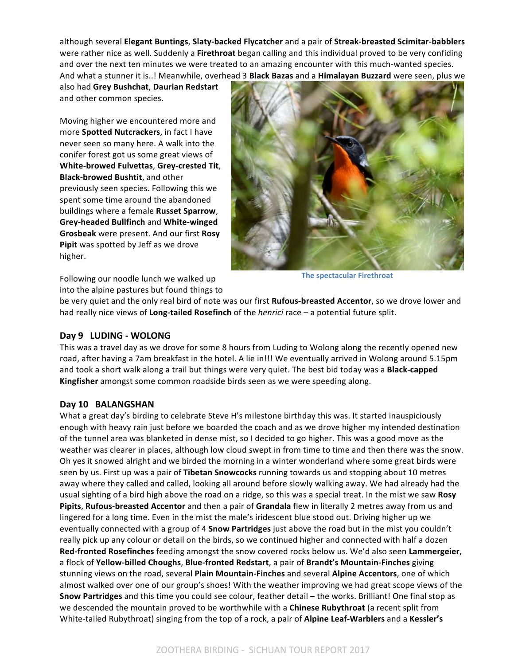although several **Elegant Buntings**, **Slaty-backed Flycatcher** and a pair of **Streak-breasted Scimitar-babblers** were rather nice as well. Suddenly a **Firethroat** began calling and this individual proved to be very confiding and over the next ten minutes we were treated to an amazing encounter with this much-wanted species. And what a stunner it is..! Meanwhile, overhead 3 **Black Bazas** and a **Himalayan Buzzard** were seen, plus we

also had **Grey Bushchat**, **Daurian Redstart** and other common species.

Moving higher we encountered more and more **Spotted Nutcrackers**, in fact I have never seen so many here. A walk into the conifer forest got us some great views of **White-browed Fulvettas**, **Grey-crested Tit**, **Black-browed Bushtit**, and other previously seen species. Following this we spent some time around the abandoned buildings where a female **Russet Sparrow**, **Grey-headed Bullfinch** and **White-winged Grosbeak** were present. And our first **Rosy Pipit** was spotted by Jeff as we drove higher.



**The spectacular Firethroat** 

Following our noodle lunch we walked up into the alpine pastures but found things to

be very quiet and the only real bird of note was our first **Rufous-breasted Accentor**, so we drove lower and had really nice views of **Long-tailed Rosefinch** of the *henrici* race – a potential future split.

# **Day 9 LUDING - WOLONG**

This was a travel day as we drove for some 8 hours from Luding to Wolong along the recently opened new road, after having a 7am breakfast in the hotel. A lie in!!! We eventually arrived in Wolong around 5.15pm and took a short walk along a trail but things were very quiet. The best bid today was a **Black-capped Kingfisher** amongst some common roadside birds seen as we were speeding along.

# Day 10 **BALANGSHAN**

What a great day's birding to celebrate Steve H's milestone birthday this was. It started inauspiciously enough with heavy rain just before we boarded the coach and as we drove higher my intended destination of the tunnel area was blanketed in dense mist, so I decided to go higher. This was a good move as the weather was clearer in places, although low cloud swept in from time to time and then there was the snow. Oh yes it snowed alright and we birded the morning in a winter wonderland where some great birds were seen by us. First up was a pair of **Tibetan Snowcocks** running towards us and stopping about 10 metres away where they called and called, looking all around before slowly walking away. We had already had the usual sighting of a bird high above the road on a ridge, so this was a special treat. In the mist we saw Rosy **Pipits, Rufous-breasted Accentor** and then a pair of Grandala flew in literally 2 metres away from us and lingered for a long time. Even in the mist the male's iridescent blue stood out. Driving higher up we eventually connected with a group of 4 **Snow Partridges** just above the road but in the mist you couldn't really pick up any colour or detail on the birds, so we continued higher and connected with half a dozen **Red-fronted Rosefinches** feeding amongst the snow covered rocks below us. We'd also seen Lammergeier, a flock of Yellow-billed Choughs, Blue-fronted Redstart, a pair of Brandt's Mountain-Finches giving stunning views on the road, several **Plain Mountain-Finches** and several **Alpine Accentors**, one of which almost walked over one of our group's shoes! With the weather improving we had great scope views of the Snow Partridges and this time you could see colour, feather detail - the works. Brilliant! One final stop as we descended the mountain proved to be worthwhile with a **Chinese Rubythroat** (a recent split from White-tailed Rubythroat) singing from the top of a rock, a pair of Alpine Leaf-Warblers and a Kessler's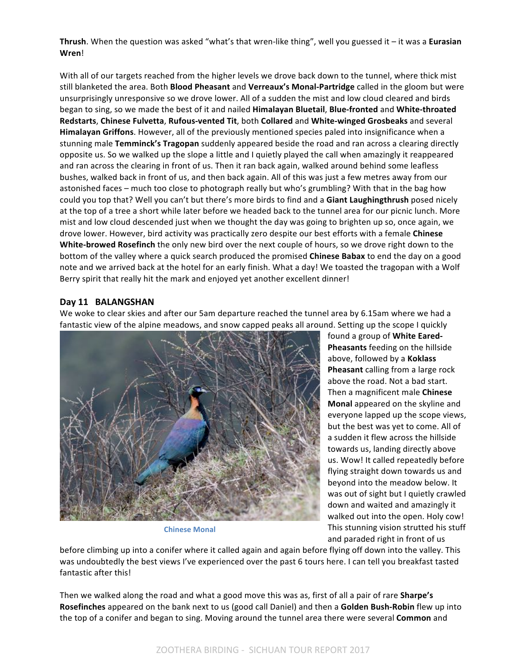**Thrush**. When the question was asked "what's that wren-like thing", well you guessed it – it was a **Eurasian Wren**!

With all of our targets reached from the higher levels we drove back down to the tunnel, where thick mist still blanketed the area. Both **Blood Pheasant** and **Verreaux's Monal-Partridge** called in the gloom but were unsurprisingly unresponsive so we drove lower. All of a sudden the mist and low cloud cleared and birds began to sing, so we made the best of it and nailed **Himalayan Bluetail, Blue-fronted** and White-throated **Redstarts, Chinese Fulvetta, Rufous-vented Tit, both Collared and White-winged Grosbeaks and several Himalayan Griffons**. However, all of the previously mentioned species paled into insignificance when a stunning male **Temminck's Tragopan** suddenly appeared beside the road and ran across a clearing directly opposite us. So we walked up the slope a little and I quietly played the call when amazingly it reappeared and ran across the clearing in front of us. Then it ran back again, walked around behind some leafless bushes, walked back in front of us, and then back again. All of this was just a few metres away from our astonished faces – much too close to photograph really but who's grumbling? With that in the bag how could you top that? Well you can't but there's more birds to find and a Giant Laughingthrush posed nicely at the top of a tree a short while later before we headed back to the tunnel area for our picnic lunch. More mist and low cloud descended just when we thought the day was going to brighten up so, once again, we drove lower. However, bird activity was practically zero despite our best efforts with a female Chinese White-browed Rosefinch the only new bird over the next couple of hours, so we drove right down to the bottom of the valley where a quick search produced the promised **Chinese Babax** to end the day on a good note and we arrived back at the hotel for an early finish. What a day! We toasted the tragopan with a Wolf Berry spirit that really hit the mark and enjoyed yet another excellent dinner!

# Day 11 **BALANGSHAN**

We woke to clear skies and after our 5am departure reached the tunnel area by 6.15am where we had a fantastic view of the alpine meadows, and snow capped peaks all around. Setting up the scope I quickly



**Chinese Monal**

found a group of **White Eared-Pheasants** feeding on the hillside above, followed by a **Koklass Pheasant** calling from a large rock above the road. Not a bad start. Then a magnificent male **Chinese Monal** appeared on the skyline and everyone lapped up the scope views, but the best was yet to come. All of a sudden it flew across the hillside towards us, landing directly above us. Wow! It called repeatedly before flying straight down towards us and beyond into the meadow below. It was out of sight but I quietly crawled down and waited and amazingly it walked out into the open. Holy cow! This stunning vision strutted his stuff and paraded right in front of us

before climbing up into a conifer where it called again and again before flying off down into the valley. This was undoubtedly the best views I've experienced over the past 6 tours here. I can tell you breakfast tasted fantastic after this!

Then we walked along the road and what a good move this was as, first of all a pair of rare **Sharpe's Rosefinches** appeared on the bank next to us (good call Daniel) and then a **Golden Bush-Robin** flew up into the top of a conifer and began to sing. Moving around the tunnel area there were several **Common** and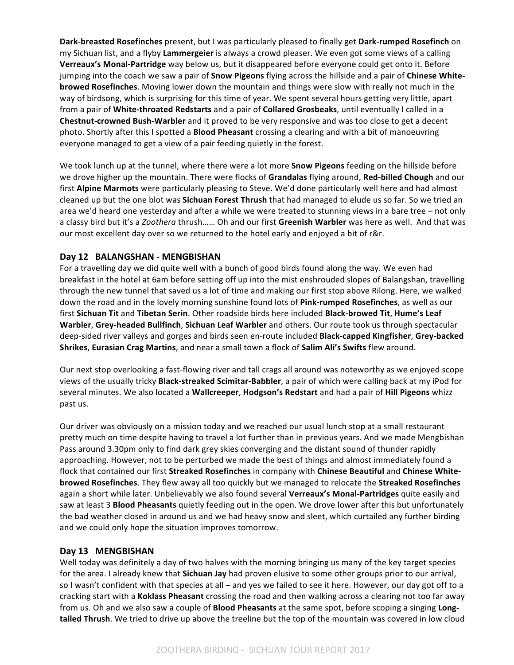**Dark-breasted Rosefinches** present, but I was particularly pleased to finally get Dark-rumped Rosefinch on my Sichuan list, and a flyby Lammergeier is always a crowd pleaser. We even got some views of a calling Verreaux's Monal-Partridge way below us, but it disappeared before everyone could get onto it. Before jumping into the coach we saw a pair of **Snow Pigeons** flying across the hillside and a pair of **Chinese Whitebrowed Rosefinches**. Moving lower down the mountain and things were slow with really not much in the way of birdsong, which is surprising for this time of year. We spent several hours getting very little, apart from a pair of White-throated Redstarts and a pair of Collared Grosbeaks, until eventually I called in a **Chestnut-crowned Bush-Warbler** and it proved to be very responsive and was too close to get a decent photo. Shortly after this I spotted a **Blood Pheasant** crossing a clearing and with a bit of manoeuvring everyone managed to get a view of a pair feeding quietly in the forest.

We took lunch up at the tunnel, where there were a lot more **Snow Pigeons** feeding on the hillside before we drove higher up the mountain. There were flocks of **Grandalas** flying around, **Red-billed Chough** and our first **Alpine Marmots** were particularly pleasing to Steve. We'd done particularly well here and had almost cleaned up but the one blot was **Sichuan Forest Thrush** that had managed to elude us so far. So we tried an area we'd heard one yesterday and after a while we were treated to stunning views in a bare tree - not only a classy bird but it's a Zoothera thrush...... Oh and our first Greenish Warbler was here as well. And that was our most excellent day over so we returned to the hotel early and enjoyed a bit of r&r.

# Day 12 BALANGSHAN - MENGBISHAN

For a travelling day we did quite well with a bunch of good birds found along the way. We even had breakfast in the hotel at 6am before setting off up into the mist enshrouded slopes of Balangshan, travelling through the new tunnel that saved us a lot of time and making our first stop above Rilong. Here, we walked down the road and in the lovely morning sunshine found lots of Pink-rumped Rosefinches, as well as our first Sichuan Tit and Tibetan Serin. Other roadside birds here included Black-browed Tit, Hume's Leaf **Warbler, Grey-headed Bullfinch, Sichuan Leaf Warbler and others. Our route took us through spectacular** deep-sided river valleys and gorges and birds seen en-route included **Black-capped Kingfisher, Grey-backed Shrikes, Eurasian Crag Martins**, and near a small town a flock of **Salim Ali's Swifts** flew around.

Our next stop overlooking a fast-flowing river and tall crags all around was noteworthy as we enjoyed scope views of the usually tricky **Black-streaked Scimitar-Babbler**, a pair of which were calling back at my iPod for several minutes. We also located a Wallcreeper, Hodgson's Redstart and had a pair of Hill Pigeons whizz past us.

Our driver was obviously on a mission today and we reached our usual lunch stop at a small restaurant pretty much on time despite having to travel a lot further than in previous years. And we made Mengbishan Pass around 3.30pm only to find dark grey skies converging and the distant sound of thunder rapidly approaching. However, not to be perturbed we made the best of things and almost immediately found a flock that contained our first Streaked Rosefinches in company with Chinese Beautiful and Chinese White**browed Rosefinches**. They flew away all too quickly but we managed to relocate the **Streaked Rosefinches** again a short while later. Unbelievably we also found several **Verreaux's Monal-Partridges** quite easily and saw at least 3 **Blood Pheasants** quietly feeding out in the open. We drove lower after this but unfortunately the bad weather closed in around us and we had heavy snow and sleet, which curtailed any further birding and we could only hope the situation improves tomorrow.

## Day 13 **MENGBISHAN**

Well today was definitely a day of two halves with the morning bringing us many of the key target species for the area. I already knew that **Sichuan Jay** had proven elusive to some other groups prior to our arrival, so I wasn't confident with that species at all – and yes we failed to see it here. However, our day got off to a cracking start with a Koklass Pheasant crossing the road and then walking across a clearing not too far away from us. Oh and we also saw a couple of **Blood Pheasants** at the same spot, before scoping a singing **Longtailed Thrush**. We tried to drive up above the treeline but the top of the mountain was covered in low cloud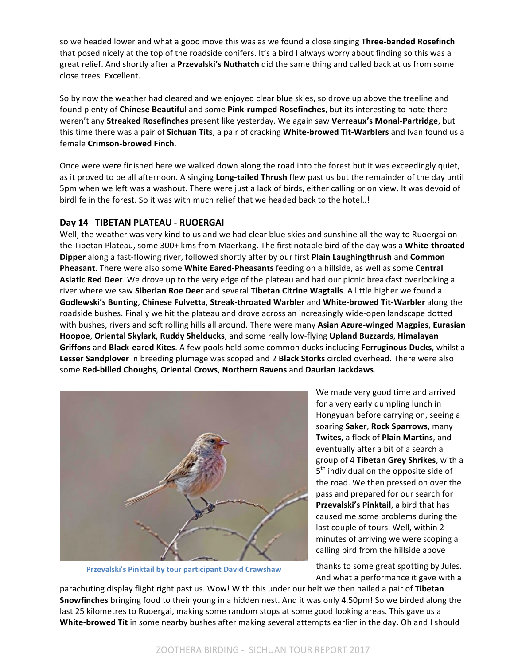so we headed lower and what a good move this was as we found a close singing **Three-banded Rosefinch** that posed nicely at the top of the roadside conifers. It's a bird I always worry about finding so this was a great relief. And shortly after a Przevalski's Nuthatch did the same thing and called back at us from some close trees. Excellent.

So by now the weather had cleared and we enjoyed clear blue skies, so drove up above the treeline and found plenty of **Chinese Beautiful** and some Pink-rumped Rosefinches, but its interesting to note there weren't any Streaked Rosefinches present like yesterday. We again saw Verreaux's Monal-Partridge, but this time there was a pair of Sichuan Tits, a pair of cracking White-browed Tit-Warblers and Ivan found us a female **Crimson-browed Finch**. 

Once were were finished here we walked down along the road into the forest but it was exceedingly quiet, as it proved to be all afternoon. A singing **Long-tailed Thrush** flew past us but the remainder of the day until 5pm when we left was a washout. There were just a lack of birds, either calling or on view. It was devoid of birdlife in the forest. So it was with much relief that we headed back to the hotel..!

# Day 14 TIBETAN PLATEAU - RUOERGAI

Well, the weather was very kind to us and we had clear blue skies and sunshine all the way to Ruoergai on the Tibetan Plateau, some 300+ kms from Maerkang. The first notable bird of the day was a White-throated **Dipper** along a fast-flowing river, followed shortly after by our first Plain Laughingthrush and Common **Pheasant**. There were also some **White Eared-Pheasants** feeding on a hillside, as well as some Central **Asiatic Red Deer**. We drove up to the very edge of the plateau and had our picnic breakfast overlooking a river where we saw Siberian Roe Deer and several Tibetan Citrine Wagtails. A little higher we found a **Godlewski's Bunting**, **Chinese Fulvetta**, **Streak-throated Warbler** and **White-browed Tit-Warbler** along the roadside bushes. Finally we hit the plateau and drove across an increasingly wide-open landscape dotted with bushes, rivers and soft rolling hills all around. There were many **Asian Azure-winged Magpies**, **Eurasian Hoopoe, Oriental Skylark, Ruddy Shelducks,** and some really low-flying **Upland Buzzards, Himalayan Griffons** and **Black-eared Kites**. A few pools held some common ducks including **Ferruginous Ducks**, whilst a **Lesser Sandplover** in breeding plumage was scoped and 2 **Black Storks** circled overhead. There were also some **Red-billed Choughs**, **Oriental Crows**, **Northern Ravens** and **Daurian Jackdaws**. 



**Przevalski's Pinktail by tour participant David Crawshaw**

We made very good time and arrived for a very early dumpling lunch in Hongyuan before carrying on, seeing a soaring **Saker**, **Rock Sparrows**, many **Twites**, a flock of **Plain Martins**, and eventually after a bit of a search a group of 4 Tibetan Grey Shrikes, with a  $5<sup>th</sup>$  individual on the opposite side of the road. We then pressed on over the pass and prepared for our search for **Przevalski's Pinktail**, a bird that has caused me some problems during the last couple of tours. Well, within 2 minutes of arriving we were scoping a calling bird from the hillside above

thanks to some great spotting by Jules. And what a performance it gave with a

parachuting display flight right past us. Wow! With this under our belt we then nailed a pair of Tibetan **Snowfinches** bringing food to their young in a hidden nest. And it was only 4.50pm! So we birded along the last 25 kilometres to Ruoergai, making some random stops at some good looking areas. This gave us a White-browed Tit in some nearby bushes after making several attempts earlier in the day. Oh and I should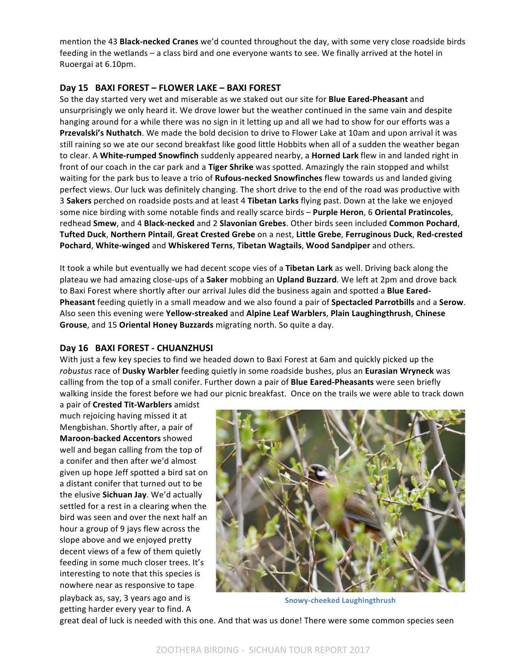mention the 43 **Black-necked Cranes** we'd counted throughout the day, with some very close roadside birds feeding in the wetlands – a class bird and one everyone wants to see. We finally arrived at the hotel in Ruoergai at 6.10pm.

# Day 15 BAXI FOREST - FLOWER LAKE - BAXI FOREST

So the day started very wet and miserable as we staked out our site for **Blue Eared-Pheasant** and unsurprisingly we only heard it. We drove lower but the weather continued in the same vain and despite hanging around for a while there was no sign in it letting up and all we had to show for our efforts was a **Przevalski's Nuthatch**. We made the bold decision to drive to Flower Lake at 10am and upon arrival it was still raining so we ate our second breakfast like good little Hobbits when all of a sudden the weather began to clear. A White-rumped Snowfinch suddenly appeared nearby, a Horned Lark flew in and landed right in front of our coach in the car park and a Tiger Shrike was spotted. Amazingly the rain stopped and whilst waiting for the park bus to leave a trio of Rufous-necked Snowfinches flew towards us and landed giving perfect views. Our luck was definitely changing. The short drive to the end of the road was productive with 3 Sakers perched on roadside posts and at least 4 Tibetan Larks flying past. Down at the lake we enjoyed some nice birding with some notable finds and really scarce birds - Purple Heron, 6 Oriental Pratincoles, redhead **Smew**, and 4 **Black-necked** and 2 **Slavonian Grebes**. Other birds seen included **Common Pochard**, **Tufted Duck**, **Northern Pintail**, **Great Crested Grebe** on a nest, **Little Grebe**, **Ferruginous Duck**, **Red-crested Pochard, White-winged** and Whiskered Terns, Tibetan Wagtails, Wood Sandpiper and others.

It took a while but eventually we had decent scope vies of a Tibetan Lark as well. Driving back along the plateau we had amazing close-ups of a **Saker** mobbing an **Upland Buzzard**. We left at 2pm and drove back to Baxi Forest where shortly after our arrival Jules did the business again and spotted a Blue Eared-**Pheasant** feeding quietly in a small meadow and we also found a pair of **Spectacled Parrotbills** and a **Serow**. Also seen this evening were Yellow-streaked and Alpine Leaf Warblers, Plain Laughingthrush, Chinese Grouse, and 15 Oriental Honey Buzzards migrating north. So quite a day.

## Day 16 BAXI FOREST - CHUANZHUSI

With just a few key species to find we headed down to Baxi Forest at 6am and quickly picked up the robustus race of Dusky Warbler feeding quietly in some roadside bushes, plus an Eurasian Wryneck was calling from the top of a small conifer. Further down a pair of **Blue Eared-Pheasants** were seen briefly walking inside the forest before we had our picnic breakfast. Once on the trails we were able to track down

a pair of **Crested Tit-Warblers** amidst much rejoicing having missed it at Mengbishan. Shortly after, a pair of **Maroon-backed Accentors** showed well and began calling from the top of a conifer and then after we'd almost given up hope Jeff spotted a bird sat on a distant conifer that turned out to be the elusive **Sichuan Jay**. We'd actually settled for a rest in a clearing when the bird was seen and over the next half an hour a group of 9 jays flew across the slope above and we enjoyed pretty decent views of a few of them quietly feeding in some much closer trees. It's interesting to note that this species is nowhere near as responsive to tape playback as, say, 3 years ago and is getting harder every year to find. A



**Snowy-cheeked Laughingthrush**

great deal of luck is needed with this one. And that was us done! There were some common species seen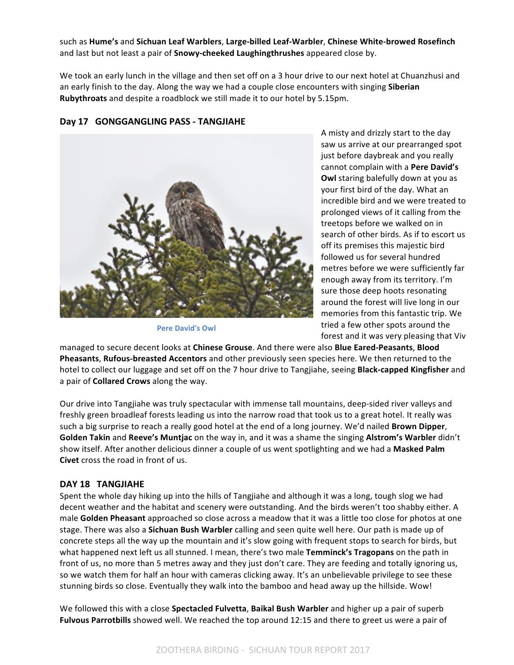such as **Hume's** and **Sichuan Leaf Warblers**, **Large-billed Leaf-Warbler**, **Chinese White-browed Rosefinch** and last but not least a pair of **Snowy-cheeked Laughingthrushes** appeared close by.

We took an early lunch in the village and then set off on a 3 hour drive to our next hotel at Chuanzhusi and an early finish to the day. Along the way we had a couple close encounters with singing **Siberian Rubythroats** and despite a roadblock we still made it to our hotel by 5.15pm.

## Day 17 GONGGANGLING PASS - TANGJIAHE



**Pere David's Owl** 

A misty and drizzly start to the day saw us arrive at our prearranged spot just before daybreak and you really cannot complain with a Pere David's **Owl** staring balefully down at you as your first bird of the day. What an incredible bird and we were treated to prolonged views of it calling from the treetops before we walked on in search of other birds. As if to escort us off its premises this majestic bird followed us for several hundred metres before we were sufficiently far enough away from its territory. I'm sure those deep hoots resonating around the forest will live long in our memories from this fantastic trip. We tried a few other spots around the forest and it was very pleasing that Viv

managed to secure decent looks at *Chinese Grouse*. And there were also Blue Eared-Peasants, Blood **Pheasants, Rufous-breasted Accentors** and other previously seen species here. We then returned to the hotel to collect our luggage and set off on the 7 hour drive to Tangjiahe, seeing **Black-capped Kingfisher** and a pair of **Collared Crows** along the way.

Our drive into Tangjiahe was truly spectacular with immense tall mountains, deep-sided river valleys and freshly green broadleaf forests leading us into the narrow road that took us to a great hotel. It really was such a big surprise to reach a really good hotel at the end of a long journey. We'd nailed **Brown Dipper**, Golden Takin and Reeve's Muntjac on the way in, and it was a shame the singing Alstrom's Warbler didn't show itself. After another delicious dinner a couple of us went spotlighting and we had a Masked Palm **Civet** cross the road in front of us.

## DAY 18 TANGJIAHE

Spent the whole day hiking up into the hills of Tangjiahe and although it was a long, tough slog we had decent weather and the habitat and scenery were outstanding. And the birds weren't too shabby either. A male **Golden Pheasant** approached so close across a meadow that it was a little too close for photos at one stage. There was also a **Sichuan Bush Warbler** calling and seen quite well here. Our path is made up of concrete steps all the way up the mountain and it's slow going with frequent stops to search for birds, but what happened next left us all stunned. I mean, there's two male Temminck's Tragopans on the path in front of us, no more than 5 metres away and they just don't care. They are feeding and totally ignoring us, so we watch them for half an hour with cameras clicking away. It's an unbelievable privilege to see these stunning birds so close. Eventually they walk into the bamboo and head away up the hillside. Wow!

We followed this with a close **Spectacled Fulvetta, Baikal Bush Warbler** and higher up a pair of superb **Fulvous Parrotbills** showed well. We reached the top around 12:15 and there to greet us were a pair of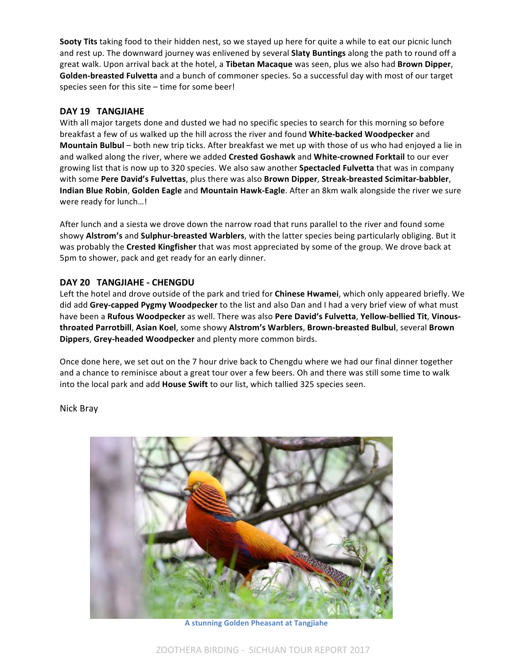**Sooty Tits** taking food to their hidden nest, so we stayed up here for quite a while to eat our picnic lunch and rest up. The downward journey was enlivened by several **Slaty Buntings** along the path to round off a great walk. Upon arrival back at the hotel, a Tibetan Macaque was seen, plus we also had Brown Dipper, Golden-breasted Fulvetta and a bunch of commoner species. So a successful day with most of our target species seen for this site  $-$  time for some beer!

# DAY 19 TANGJIAHE

With all major targets done and dusted we had no specific species to search for this morning so before breakfast a few of us walked up the hill across the river and found White-backed Woodpecker and **Mountain Bulbul** – both new trip ticks. After breakfast we met up with those of us who had enjoyed a lie in and walked along the river, where we added Crested Goshawk and White-crowned Forktail to our ever growing list that is now up to 320 species. We also saw another **Spectacled Fulvetta** that was in company with some Pere David's Fulvettas, plus there was also Brown Dipper, Streak-breasted Scimitar-babbler, **Indian Blue Robin, Golden Eagle** and **Mountain Hawk-Eagle**. After an 8km walk alongside the river we sure were ready for lunch...!

After lunch and a siesta we drove down the narrow road that runs parallel to the river and found some showy Alstrom's and Sulphur-breasted Warblers, with the latter species being particularly obliging. But it was probably the **Crested Kingfisher** that was most appreciated by some of the group. We drove back at 5pm to shower, pack and get ready for an early dinner.

# **DAY 20 TANGJIAHE - CHENGDU**

Left the hotel and drove outside of the park and tried for **Chinese Hwamei**, which only appeared briefly. We did add Grey-capped Pygmy Woodpecker to the list and also Dan and I had a very brief view of what must have been a Rufous Woodpecker as well. There was also Pere David's Fulvetta, Yellow-bellied Tit, Vinous**throated Parrotbill**, **Asian Koel**, some showy **Alstrom's Warblers**, **Brown-breasted Bulbul**, several **Brown Dippers, Grey-headed Woodpecker** and plenty more common birds.

Once done here, we set out on the 7 hour drive back to Chengdu where we had our final dinner together and a chance to reminisce about a great tour over a few beers. Oh and there was still some time to walk into the local park and add **House Swift** to our list, which tallied 325 species seen.

Nick Bray



**A stunning Golden Pheasant at Tangjiahe**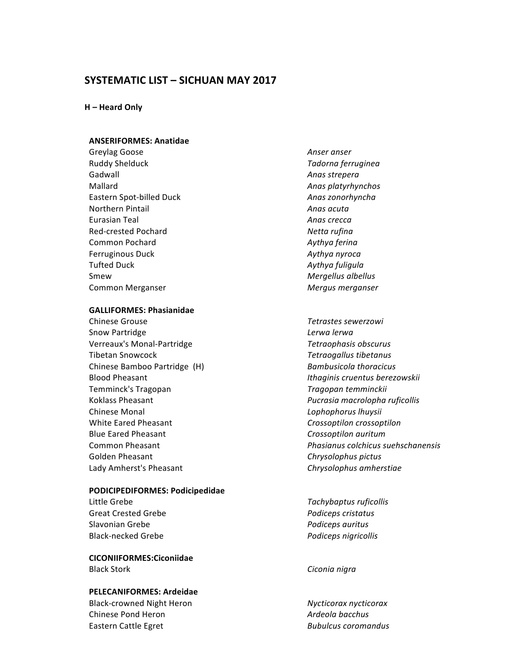# **SYSTEMATIC LIST – SICHUAN MAY 2017**

**H** – Heard Only

#### **ANSERIFORMES: Anatidae**

Greylag Goose *Anser anser* Ruddy Shelduck *Tadorna ferruginea* Gadwall **Anas** strepera Mallard **Anas** platyrhynchos Eastern Spot-billed Duck *Anas zonorhyncha* **Northern Pintail** *Anas acuta* Eurasian Teal *Anas crecca* Red-crested Pochard **Netta** rufina Common Pochard **Aythya** ferina Ferruginous Duck **Aythya** nyroca Tufted Duck *Aythya fuligula* Smew **Mergellus** albellus Common Merganser *Mergus merganser*

#### **GALLIFORMES: Phasianidae**

**Chinese Grouse** *Chinese Grouse Chinese Grouse Chinese Grouse* Snow Partridge *Lerwa lerwa* Verreaux's Monal-Partridge *Tetraophasis obscurus* Tibetan Snowcock *Tetraogallus tibetanus* Chinese Bamboo Partridge (H) *Bambusicola thoracicus* Blood Pheasant *Ithaginis cruentus berezowskii* Temminck's Tragopan *Tragopan temminckii* Koklass Pheasant *Pucrasia macrolopha ruficollis* **Chinese Monal Chinese** Monal *Lophophorus Ihuysii* White Eared Pheasant *Crossoptilon Crossoptilon* Blue Eared Pheasant *Crossoptilon auritum* Golden Pheasant **Chrysolophus** pictus **Chrysolophus** pictus Lady Amherst's Pheasant **Chrysolophus** amherstiae

#### **PODICIPEDIFORMES: Podicipedidae**

Little Grebe *Tachybaptus ruficollis* Great Crested Grebe *Podiceps cristatus* Slavonian Grebe *Podiceps auritus* Black-necked Grebe *Podiceps nigricollis* 

**CICONIIFORMES:Ciconiidae** Black Stork **Ciconia** nigra

#### **PELECANIFORMES: Ardeidae**

Black-crowned Night Heron *Nycticorax nycticorax* Chinese Pond Heron *Ardeola* bacchus *Ardeola bacchus* Eastern Cattle Egret **Bubulcus** Coromandus

Common Pheasant *Phasianus colchicus suehschanensis*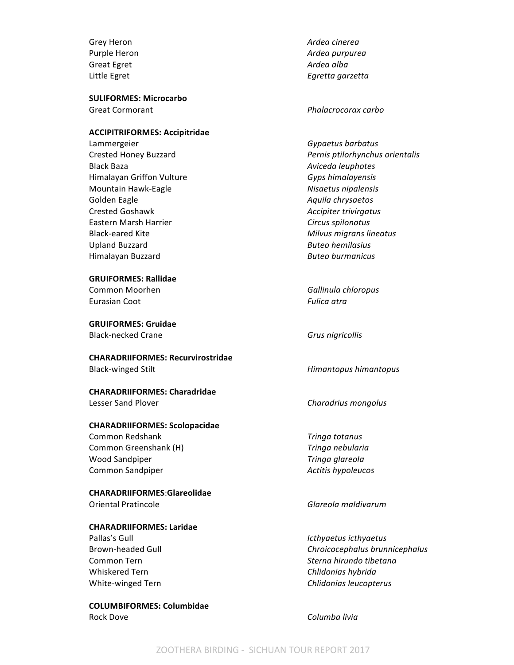Great Egret **Ardea** alba

**SULIFORMES: Microcarbo** Great Cormorant *Phalacrocorax carbo* 

#### **ACCIPITRIFORMES: Accipitridae**

Lammergeier **Gypaetus** *Gypaetus barbatus* Black Baza *Aviceda leuphotes Aviceda leuphotes* Himalayan Griffon Vulture *Gyps himalayensis* Mountain Hawk-Eagle *Nisaetus nipalensis* Golden Eagle **According to Aquila** Chrysaetos **Aquila** Chrysaetos Crested Goshawk *Accipiter trivirgatus* Eastern Marsh Harrier *Circus spilonotus* Black-eared Kite *Milvus migrans lineatus* Upland Buzzard *Buteo hemilasius* Himalayan Buzzard *Buteo burmanicus*

#### **GRUIFORMES: Rallidae**

Eurasian Coot **Fulica** atra

**GRUIFORMES: Gruidae** Black-necked Crane **Grus Grus** *Grus nigricollis* 

**CHARADRIIFORMES: Recurvirostridae** Black-winged Stilt **Himantopus** *Himantopus himantopus* 

# **CHARADRIIFORMES: Charadridae**

## **CHARADRIIFORMES: Scolopacidae**

**Common Redshank** *Tringa totanus* Common Greenshank (H) **Tringa** nebularia Wood Sandpiper *Tringa glareola* Common Sandpiper *Actitis hypoleucos Actitis* hypoleucos

#### **CHARADRIIFORMES**:**Glareolidae** Oriental Pratincole *Glareola maldivarum*

## **CHARADRIIFORMES: Laridae**

Whiskered Tern *Chlidonias hybrida* 

**COLUMBIFORMES: Columbidae** Rock Dove **Columba** livia

Grey Heron *Ardea cinerea* Purple Heron *Ardea purpurea* Little Egret **Egrets Egretta** *Egretta Egretta Egretta Egretta* 

Crested Honey Buzzard *Pernis ptilorhynchus orientalis*

Common Moorhen *Gallinula chloropus*

Lesser Sand Plover *Charadrius mongolus* 

Pallas's Gull *Icthyaetus icthyaetus Icthyaetus Icthyaetus* Brown-headed Gull **Chroicocephalus** *Chroicocephalus brunnicephalus* Common Tern *Sterna hirundo tibetana* White-winged Tern **Chlidonias** *Chlidonias leucopterus* **Chlidonias** *Chlidonias leucopterus*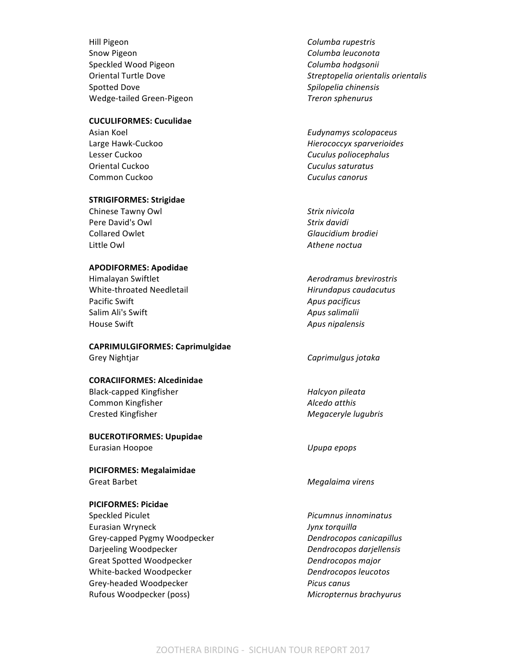Hill Pigeon **Columba** rupestris Snow Pigeon **Columba** leuconota Speckled Wood Pigeon **Columba** hodgsonii Spotted Dove *Spilopelia chinensis* Wedge-tailed Green-Pigeon *Treron sphenurus*

#### **CUCULIFORMES: Cuculidae**

**Oriental Cuckoo Cuculus** saturatus **Cuculus** saturatus Common Cuckoo *Cuculus canorus*

#### **STRIGIFORMES: Strigidae**

Chinese Tawny Owl **Strix** nivicola Pere David's Owl **Strix** davidi Collared Owlet **Glaucidium** brodiei Little Owl **Athene** noctual

#### **APODIFORMES: Apodidae**

Himalayan Swiftlet *Aerodramus brevirostris* White-throated Needletail *Hirundapus caudacutus* **Pacific Swift Apus** *pacificus Apus pacificus* Salim Ali's Swift **Apus** Salimalii House Swift **Apus** nipalensis

## **CAPRIMULGIFORMES: Caprimulgidae**

#### **CORACIIFORMES: Alcedinidae**

Black-capped Kingfisher **Halcyon** *Halcyon pileata* **Common Kingfisher** *Alcedo* at *Alcedo* at *Alcedo* at *Alcedo* at *Alcedo* at *Alcedo* at *Alcedo* at *Alcedo* at *Alcedo* at *Alcedo* at *Alcedo* at *Alcedo* at *Alcedo* at *Alcedo* at *Alcedo* at *Alcedo* at *Alcedo* a Crested Kingfisher *Megaceryle lugubris*

# **BUCEROTIFORMES: Upupidae**

**PICIFORMES: Megalaimidae** Great Barbet **Megalaima** virens

#### **PICIFORMES: Picidae**

Speckled Piculet *Picumnus innominatus Picumnus innominatus* Eurasian Wryneck *Jynx torquilla* Grey-capped Pygmy Woodpecker *Dendrocopos canicapillus* Darjeeling Woodpecker *Dendrocopos darjellensis* Great Spotted Woodpecker **Dendrocopos** major White-backed Woodpecker **Dendrocopos** leucotos Grey-headed Woodpecker *Picus canus* Rufous Woodpecker (poss) **Micropternus** brachyurus **Micropternus** 

Oriental Turtle Dove *Streptopelia orientalis orientalis*

Asian Koel *Eudynamys scolopaceus* Large Hawk-Cuckoo *Hierococcyx sparverioides* Lesser Cuckoo **Cuculus** *Cuculus poliocephalus Cuculus poliocephalus* 

Grey Nightjar **Caprimulgus** jotaka

Eurasian Hoopoe *Upupa epops*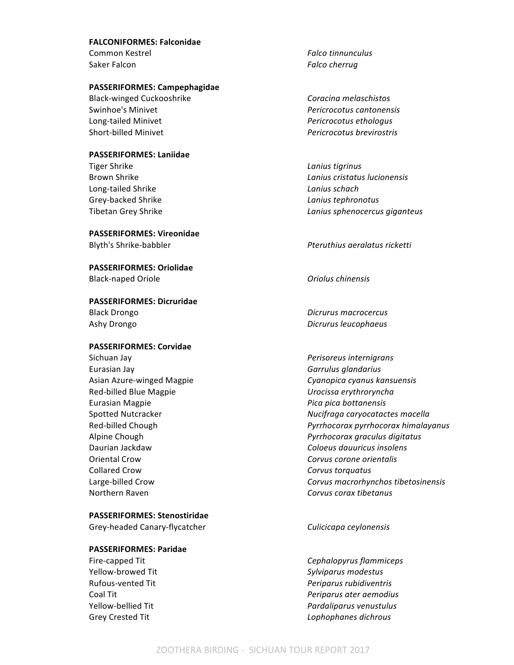#### **FALCONIFORMES: Falconidae**

Saker Falcon **Falcon Falco** cherrug

#### **PASSERIFORMES: Campephagidae**

Black-winged Cuckooshrike *Coracina melaschistos* Swinhoe's Minivet *Pericrocotus cantonensis* Long-tailed Minivet *Pericrocotus ethologus* Short-billed Minivet *Pericrocotus brevirostris*

#### **PASSERIFORMES: Laniidae**

**Tiger Shrike Lanius Lanius Lanius Lanius Lanius Lanius Lanius** Long-tailed Shrike *Lanius schach* Grey-backed Shrike *Lanius tephronotus Lanius tephronotus* 

#### **PASSERIFORMES: Vireonidae**

**PASSERIFORMES: Oriolidae** Black-naped Oriole *Oriolus chinensis*

# **PASSERIFORMES: Dicruridae** Black Drongo *Dicrurus macrocercus*

#### **PASSERIFORMES: Corvidae**

Sichuan Jay *Perisoreus internigrans Perisoreus internigrans* Eurasian Jay **Garrulus** glandarius **Garrulus** glandarius Red-billed Blue Magpie *Urocissa erythroryncha* Eurasian Magpie *Pica pica bottanensis* Oriental Crow *Corvus corone orientalis* Collared Crow **Collared** Crow **Collared** Crow Northern Raven *Corvus corax tibetanus*

## **PASSERIFORMES: Stenostiridae**

Grey-headed Canary-flycatcher *Culicicapa ceylonensis*

#### **PASSERIFORMES: Paridae**

Common Kestrel *Falco tinnunculus*

Brown Shrike *Lanius cristatus lucionensis* Tibetan Grey Shrike *Lanius sphenocercus giganteus*

Blyth's Shrike-babbler *Pteruthius aeralatus ricketti Pteruthius aeralatus ricketti* 

Ashy Drongo *Dicrurus leucophaeus Dicrurus leucophaeus* 

Asian Azure-winged Magpie *Cyanopica cyanus kansuensis* Spotted Nutcracker *Nucifraga caryocatactes macella* Red-billed Chough *Pyrrhocorax pyrrhocorax himalayanus* Alpine Chough *Pyrrhocorax graculus digitatus* Daurian Jackdaw *Coloeus dauuricus insolens* Large-billed Crow *Corvus macrorhynchos tibetosinensis*

Fire-capped Tit **Cephalopyrus** flammiceps **Cephalopyrus** flammiceps Yellow-browed Tit **Sylviparus** modestus Rufous-vented Tit *Periparus rubidiventris* Coal Tit *Periparus ater aemodius Periparus ater aemodius* Yellow-bellied Tit *Pardaliparus* venustulus **Pardaliparus** venustulus Grey Crested Tit **Communist Communist Communist Communist Communist Communist Communist Communist Communist Communist Communist Communist Communist Communist Communist Communist Communist Communist Communist Communist Comm**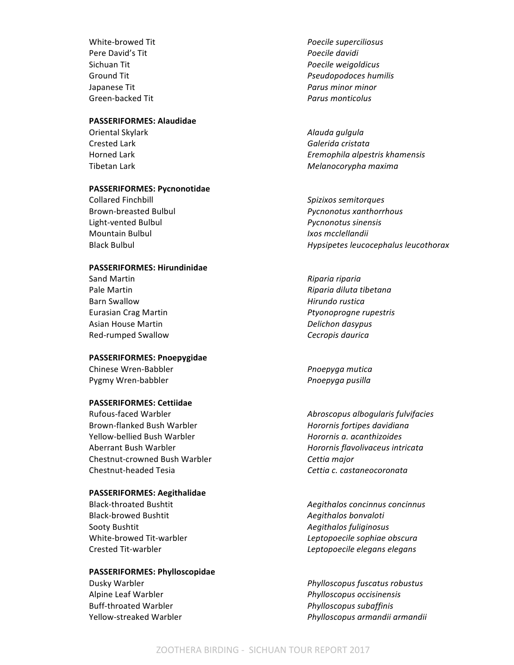**Pere David's Tit** *Poecile davidi* Green-backed Tit *Parus monticolus*

#### **PASSERIFORMES: Alaudidae**

#### **PASSERIFORMES: Pycnonotidae**

Collared Finchbill *Spizixos semitorques* Light-vented Bulbul *Pycnonotus sinensis* Mountain Bulbul *Ixos mcclellandii*

#### **PASSERIFORMES: Hirundinidae**

Sand Martin *Riparia riparia Riparia riparia* **Barn Swallow Microsoft Contract Contract Contract Contract Contract Contract Contract Contract Contract Contract Contract Contract Contract Contract Contract Contract Contract Contract Contract Contract Contract Contrac** Asian House Martin *Delichon dasypus* Red-rumped Swallow **CECT And Accept CECT ACCESS** Cecropis daurica

#### **PASSERIFORMES: Pnoepygidae**

Chinese Wren-Babbler *Pnoepyga mutica* Pygmy Wren-babbler *Pygmy Wren-babbler Pnoepyga pusilla* 

#### **PASSERIFORMES: Cettiidae**

Rufous-faced Warbler *Abroscopus albogularis fulvifacies* Brown-flanked Bush Warbler *Horornis fortipes davidiana* Yellow-bellied Bush Warbler *Horornis a. acanthizoides* Aberrant Bush Warbler *Horornis flavolivaceus intricata* Chestnut-crowned Bush Warbler *Cettia major* Chestnut-headed Tesia *Cettia c. castaneocoronata*

#### **PASSERIFORMES: Aegithalidae**

Black-browed Bushtit **Account Account Account Account Account Account Account Account Account Account Account Account Account Account Account Account Account Account Account Account Account Account Account Account Account** Sooty Bushtit **Agility Contract Contract Contract Agility** *Aegithalos fuliginosus* 

#### **PASSERIFORMES: Phylloscopidae**

Buff-throated Warbler *Phylloscopus subaffinis* 

White-browed Tit *Poecile superciliosus* Sichuan Tit *Poecile weigoldicus* Ground Tit *Pseudopodoces humilis Pseudopodoces humilis* Japanese Tit *Parus minor minor*

Oriental Skylark *Alauda gulgula* **Crested Lark Galerida cristata** Horned Lark *Eremophila alpestris khamensis* Tibetan Lark *Melanocorypha maxima*

Brown-breasted Bulbul *Pycnonotus xanthorrhous* Black Bulbul *Hypsipetes leucocephalus leucothorax*

Pale Martin *Riparia diluta tibetana* Eurasian Crag Martin *Ptyonoprogne rupestris* 

Black-throated Bushtit *Aegithalos concinnus concinnus* White-browed Tit-warbler *Leptopoecile sophiae obscura* Crested Tit-warbler *Leptopoecile elegans elegans*

Dusky Warbler *Phylloscopus fuscatus robustus* Alpine Leaf Warbler *Phylloscopus occisinensis* Yellow-streaked Warbler *Phylloscopus armandii armandii*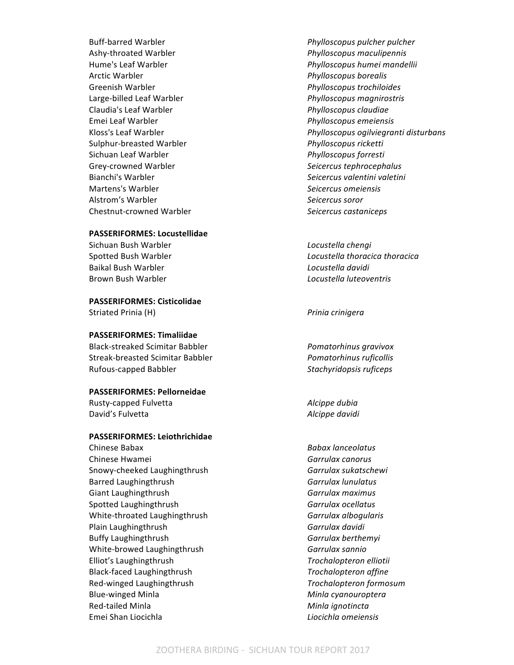Ashy-throated Warbler *Phylloscopus maculipennis* Arctic Warbler *Phylloscopus borealis* Greenish Warbler *Phylloscopus trochiloides* Large-billed Leaf Warbler *Phylloscopus magnirostris* Claudia's Leaf Warbler *Phylloscopus claudiae* Emei Leaf Warbler *Phylloscopus emeiensis* Sulphur-breasted Warbler *Phylloscopus ricketti* Sichuan Leaf Warbler *Phylloscopus forresti* Grey-crowned Warbler *Seicercus tephrocephalus Seicercus tephrocephalus* Bianchi's Warbler *Seicercus valentini valetini* Martens's Warbler *Seicercus omeiensis* Alstrom's Warbler *Seicercus soror* Chestnut-crowned Warbler *Seicercus castaniceps*

#### **PASSERIFORMES: Locustellidae**

Sichuan Bush Warbler *Locustella chengi* Baikal Bush Warbler *Locustella davidi* Brown Bush Warbler *Locustella luteoventris* 

**PASSERIFORMES: Cisticolidae**

#### **PASSERIFORMES: Timaliidae**

Black-streaked Scimitar Babbler *Pomatorhinus gravivox* Streak-breasted Scimitar Babbler *Pomatorhinus ruficollis* Rufous-capped Babbler *Stachyridopsis ruficeps* 

#### **PASSERIFORMES: Pellorneidae**

Rusty-capped Fulvetta *Alcippe dubia* David's Fulvetta *Alcippe davidi* 

#### **PASSERIFORMES: Leiothrichidae**

Chinese Babax *Babax lanceolatus* Chinese Hwamei *Garrulax canorus* Snowy-cheeked Laughingthrush **Garrulax** sukatschewi Barred Laughingthrush **Garrulax** Indiana Barred Laughingthrush **Garrulax** Indiana Barrulax Giant Laughingthrush **Garrulax** maximus **Garrulax** maximus Spotted Laughingthrush **Garrulax** ocellatus **Garrulax** ocellatus White-throated Laughingthrush *Garrulax albogularis* Plain Laughingthrush **Garrulax** davidi Buffy Laughingthrush **Garrulax** berthemyi White-browed Laughingthrush *Garrulax sannio* Elliot's Laughingthrush *Trochalopteron elliotii* Black-faced Laughingthrush **Trochalopteron** affine Red-winged Laughingthrush *Trochalopteron formosum* Blue-winged Minla **Minla** *Minla cyanouroptera* Red-tailed Minla **Minla** *Minla ignotincta* Emei Shan Liocichla *Liocichla omeiensis*

Buff-barred Warbler *Phylloscopus pulcher pulcher* Hume's Leaf Warbler *Phylloscopus humei mandellii* Kloss's Leaf Warbler *Phylloscopus ogilviegranti disturbans Phylloscopus ogilviegranti disturbans* 

Spotted Bush Warbler *COLLECTER* **Locustella** *thoracica thoracica thoracica* 

Striated Prinia (H) **Prince Access 19 and 20 and 20 and 20 and 20 and 20 and 20 and 20 and 20 and 20 and 20 and 20 and 20 and 20 and 20 and 20 and 20 and 20 and 20 and 20 and 20 and 20 and 20 and 20 and 20 and 20 and 20 an**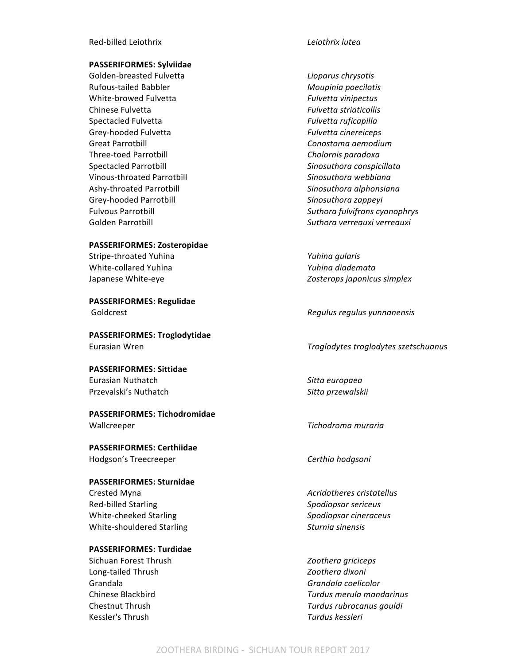#### **PASSERIFORMES: Sylviidae**

Golden-breasted Fulvetta *Lioparus chrysotis* Rufous-tailed Babbler **Moupinia** poecilotis White-browed Fulvetta **Fullyetta** *Fulvetta vinipectus* Chinese Fulvetta *Fulvetta Fulvetta* striaticollis Spectacled Fulvetta *Fulvetta Fulvetta ruficapilla* Grey-hooded Fulvetta *Fulvetta cinereiceps* Great Parrotbill **Conostoma** *aemodium* Three-toed Parrotbill **Cholornis** paradoxa Spectacled Parrotbill **Sinosuthora** *Sinosuthora conspicillata* Vinous-throated Parrotbill *Sinosuthora webbiana* Ashy-throated Parrotbill *Sinosuthora alphonsiana* Grey-hooded Parrotbill **Sinosuthora** zappeyi

#### **PASSERIFORMES: Zosteropidae**

Stripe-throated Yuhina *Yuhina gularis* White-collared Yuhina *Yuhina diademata*

**PASSERIFORMES: Regulidae**

**PASSERIFORMES: Troglodytidae**

**PASSERIFORMES: Sittidae** Eurasian Nuthatch *Sitta europaea* Przevalski's Nuthatch **Sitta** *Sitta przewalskii* 

**PASSERIFORMES: Tichodromidae** Wallcreeper *Tichodroma muraria* 

**PASSERIFORMES: Certhiidae** Hodgson's Treecreeper **Certhia** hodgsoni

# **PASSERIFORMES: Sturnidae**

Red-billed Starling *Spodiopsar sericeus* White-cheeked Starling *Spodiopsar cineraceus Spodiopsar cineraceus* White-shouldered Starling *Sturnia sinensis* 

#### **PASSERIFORMES: Turdidae**

Sichuan Forest Thrush *Zoothera griciceps* Long-tailed Thrush *Zoothera dixoni* Grandala *Grandala coelicolor* Kessler's Thrush *Turdus kessleri* 

Fulvous Parrotbill *Suthora fulvifrons cyanophrys* Golden Parrotbill **Suthora** *Suthora verreauxi verreauxi suthora verreauxi verreauxi verreauxi verreauxi verreauxi verreauxi verreauxi verreauxi verreauxi verreauxi verreauxi verreauxi verreauxi*

Japanese White-eye *Zosterops japonicus simplex*

Goldcrest *Regulus regulus yunnanensis Regulus regulus yunnanensis* 

Eurasian Wren *Troglodytes troglodytes szetschuanu*s

Crested Myna *Acridotheres cristatellus*

Chinese Blackbird *Turdus merula mandarinus* **Chestnut Thrush** *Chestnut Thrush Chestnut Thrush Guidaneless <b><i>Turdus rubrocanus qouldi*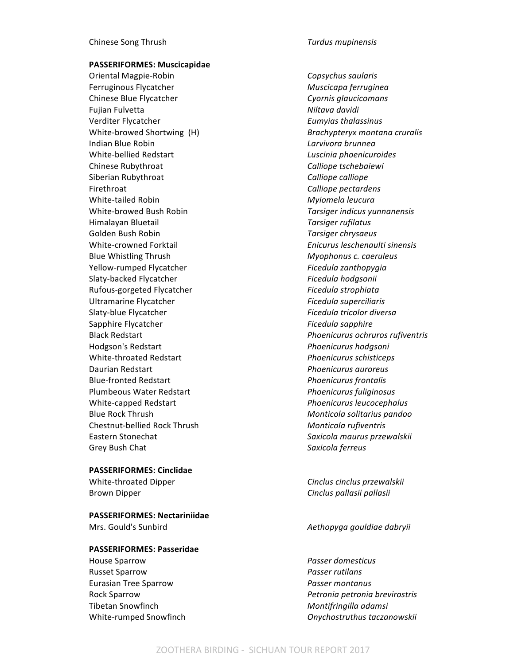**PASSERIFORMES: Muscicapidae**

Oriental Magpie-Robin *Copsychus saularis* Ferruginous Flycatcher **Muscicapa** *Muscicapa ferruginea* Chinese Blue Flycatcher *Cyornis glaucicomans* Fujian Fulvetta *Niltava davidi* Verditer Flycatcher *Eumyias thalassinus* White-browed Shortwing (H) *Brachypteryx montana cruralis* Indian Blue Robin *Larvivora brunnea* White-bellied Redstart *Luscinia phoenicuroides* Chinese Rubythroat *Calliope tschebaiewi* **Calliope** *Calliope tschebaiewi* Siberian Rubythroat *Calliope calliope Calliope Calliope* Firethroat *Calliope pectardens* White-tailed Robin *Myiomela leucura Myiomela leucura* White-browed Bush Robin *Tarsiger indicus yunnanensis* Himalayan Bluetail *Tarsiger rufilatus* Golden Bush Robin *Tarsiger chrysaeus Tarsiger chrysaeus* White-crowned Forktail *Enicurus Enicurus leschenaulti sinensis* Blue Whistling Thrush *Myophonus c. caeruleus* Yellow-rumped Flycatcher *Ficedula zanthopygia* Slaty-backed Flycatcher *Ficedula hodgsonii* Rufous-gorgeted Flycatcher **Ficedula** strophiata Ultramarine Flycatcher **Figure 1** and *Ficedula superciliaris* Slaty-blue Flycatcher **Figure 2018** Ficedula tricolor diversa Sapphire Flycatcher **Ficedula** sapphire **Ficedula** sapphire Hodgson's Redstart *Phoenicurus hodgsoni* White-throated Redstart *Phoenicurus schisticeps* Daurian Redstart *Phoenicurus auroreus* Blue-fronted Redstart *Phoenicurus frontalis* Plumbeous Water Redstart *Phoenicurus fuliginosus* White-capped Redstart *Phoenicurus leucocephalus* Blue Rock Thrush *Monticola solitarius pandoo* Chestnut-bellied Rock Thrush *Monticola rufiventris* Eastern Stonechat *Saxicola maurus przewalskii* Grey Bush Chat **Saxicola** ferreus

**PASSERIFORMES: Cinclidae**

**PASSERIFORMES: Nectariniidae** Mrs. Gould's Sunbird *Aethopyga gouldiae dabryii*

**PASSERIFORMES: Passeridae**

House Sparrow *Passer domesticus* Russet Sparrow *Passer rutilans* Eurasian Tree Sparrow *Passer montanus* Tibetan Snowfinch *Montifringilla adamsi*

Black Redstart *Phoenicurus ochruros rufiventris*

White-throated Dipper *Cinclus cinclus przewalskii* Brown Dipper **Cinclus** *Pallasii pallasii pallasii pallasii pallasii pallasii pallasii pallasii pallasii pallasii pallasii pallasii pallasii pallasii pallasii pallasii pallasii pallasii*

Rock Sparrow *Petronia petronia brevirostris* White-rumped Snowfinch *Onychostruthus taczanowskii Onychostruthus taczanowskii*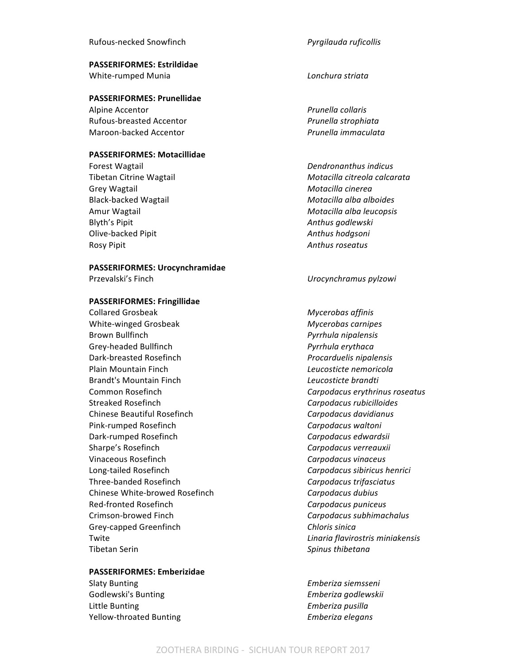#### Rufous-necked Snowfinch *Pyrgilauda ruficollis*

**PASSERIFORMES: Estrildidae** White-rumped Munia *Lonchura striata Lonchura striata* 

#### **PASSERIFORMES: Prunellidae**

Alpine Accentor *Prunella collaris* Rufous-breasted Accentor *Prunella strophiata* Maroon-backed Accentor *Prunella immaculata*

#### **PASSERIFORMES: Motacillidae**

**Forest Wagtail**  *Dendronanthus indicus* Grey Wagtail **Motacilla** *Crey* Wagtail **Motacilla** *Cinerea* Black-backed Wagtail *Motacilla alba alboides* Amur Wagtail **Motacilla** alba leucopsis **Motacilla** alba leucopsis Blyth's Pipit *Anthus godlewski* Olive-backed Pipit *Anthus hodgsoni* Rosy Pipit **Anthus** roseatus **Anthus** roseatus

#### **PASSERIFORMES: Urocynchramidae**

#### **PASSERIFORMES: Fringillidae**

**Collared Grosbeak Mycerobas** affinis White-winged Grosbeak *Mycerobas carnipes* Brown Bullfinch *Pyrrhula nipalensis* Grey-headed Bullfinch *Pyrrhula erythaca* Dark-breasted Rosefinch *Procarduelis nipalensis* Plain Mountain Finch *Leucosticte nemoricola* Brandt's Mountain Finch *Leucosticte brandti* **Common Rosefinch Carpodacus** *Carpodacus erythrinus roseatus* Streaked Rosefinch *Carpodacus rubicilloides* Chinese Beautiful Rosefinch *Carpodacus davidianus* Pink-rumped Rosefinch *Carpodacus waltoni* Dark-rumped Rosefinch **Carpodacus** *Carpodacus edwardsii* Sharpe's Rosefinch **Carpodacus** verreauxii Vinaceous Rosefinch **Carpodacus** vinaceus **Carpodacus** vinaceus Long-tailed Rosefinch *Carpodacus sibiricus henrici* Three-banded Rosefinch *Carpodacus trifasciatus* Chinese White-browed Rosefinch *Carpodacus dubius* Red-fronted Rosefinch **Carpodacus** *Carpodacus puniceus* Crimson-browed Finch *Carpodacus subhimachalus* Grey-capped Greenfinch **Challenge Children** Chloris sinica Twite *Linaria flavirostris miniakensis* Tibetan Serin *Spinus thibetana* 

#### **PASSERIFORMES: Emberizidae**

Godlewski's Bunting *Emberiza godlewskii* Little Bunting **Emberiza** pusilla Yellow-throated Bunting *Emberiza elegans*

Tibetan Citrine Wagtail *Motacilla citreola calcarata*

**Przevalski's Finch Internal Contract** *Urocynchramus pylzowi* 

Slaty Bunting *Emberiza siemsseni*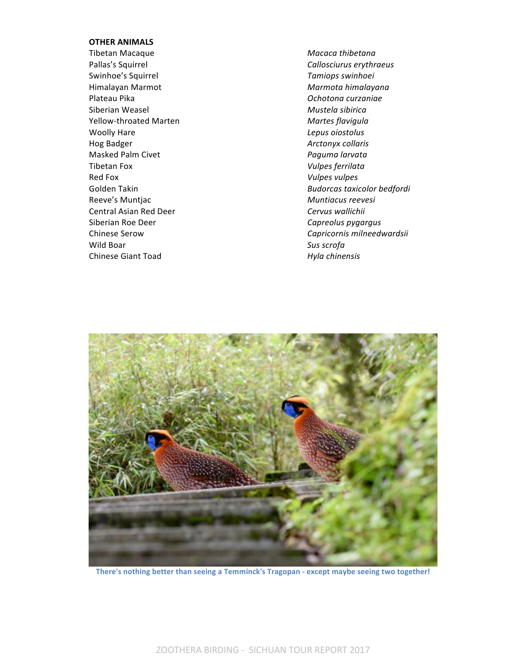#### **OTHER ANIMALS**

Tibetan Macaque *Macaca thibetana* Pallas's Squirrel **Callosciurus** erythraeus **Callosciurus** erythraeus Swinhoe's Squirrel *Tamiops swinhoei* Himalayan Marmot *Marmota himalayana* Plateau Pika *Ochotona curzaniae* Siberian Weasel *Mustela sibirica* Yellow-throated Marten *Martes flavigula* Woolly Hare *Lepus oiostolus* Hog Badger **Arctonyx** collaris Masked Palm Civet *Paguma larvata* Tibetan Fox *Vulpes ferrilata* Red Fox *Vulpes vulpes* Reeve's Muntjac **Muntiacus** reevesi Central Asian Red Deer *Cervus wallichii* Siberian Roe Deer **Capreolus** pygargus Capreolus pygargus Wild Boar **Sus** scrofa Chinese Giant Toad *Hyla chinensis* 

Golden Takin **Budorcas** taxicolor bedfordi Chinese Serow **Chinese** Serow **Capricornis** milneedwardsii



There's nothing better than seeing a Temminck's Tragopan - except maybe seeing two together!